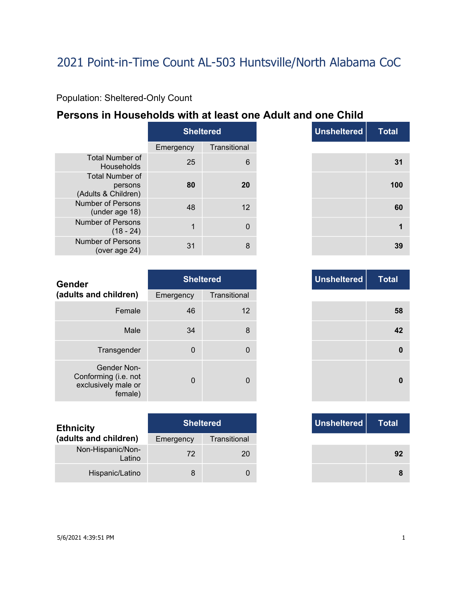### Population: Sheltered-Only Count

### **Persons in Households with at least one Adult and one Child**

|                                                          | <b>Sheltered</b> |              |  |
|----------------------------------------------------------|------------------|--------------|--|
|                                                          | Emergency        | Transitional |  |
| <b>Total Number of</b><br>Households                     | 25               | հ            |  |
| <b>Total Number of</b><br>persons<br>(Adults & Children) | 80               | 20           |  |
| Number of Persons<br>(under age 18)                      | 48               | 12           |  |
| Number of Persons<br>$(18 - 24)$                         | 1                |              |  |
| Number of Persons<br>(over age $24$ )                    | 31               |              |  |

|                | <b>Sheltered</b> |
|----------------|------------------|
| าcy            | Transitional     |
| 25             | $6\phantom{1}6$  |
| 80             | 20               |
| 48             | 12               |
| $\overline{1}$ | $\mathbf 0$      |
| 31             | 8                |

| <b>Gender</b>                                                         |             | <b>Sheltered</b> |  | <b>Unsheltered</b> |
|-----------------------------------------------------------------------|-------------|------------------|--|--------------------|
| (adults and children)                                                 | Emergency   | Transitional     |  |                    |
| Female                                                                | 46          | 12               |  |                    |
| Male                                                                  | 34          | 8                |  |                    |
| Transgender                                                           | $\mathbf 0$ | $\Omega$         |  |                    |
| Gender Non-<br>Conforming (i.e. not<br>exclusively male or<br>female) | $\Omega$    | $\Omega$         |  |                    |

| <b>Ethnicity</b>            |           | <b>Sheltered</b> | Unsheltered |
|-----------------------------|-----------|------------------|-------------|
| (adults and children)       | Emergency | Transitional     |             |
| Non-Hispanic/Non-<br>Latino | 72        | 20               |             |
| Hispanic/Latino             | 8         |                  |             |

|          | Sheltered    |
|----------|--------------|
| าcy      | Transitional |
| 46       | 12           |
| 34       | 8            |
| 0        | 0            |
|          |              |
| $\Omega$ | $\Omega$     |

| <b>Sheltered</b> |              |
|------------------|--------------|
| ٦cγ              | Transitional |
| 72               | 20           |
| 8                |              |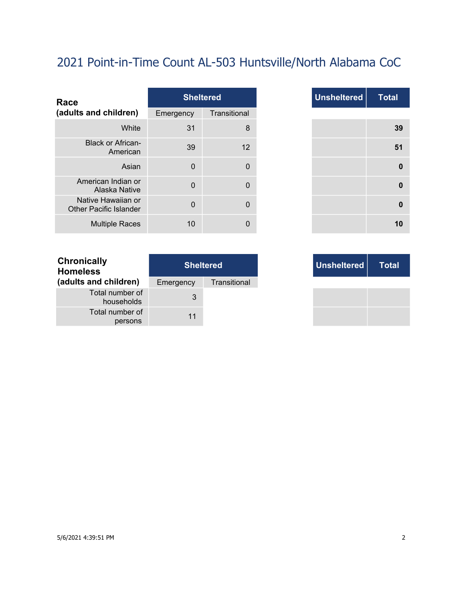| Race                                                |                | <b>Sheltered</b> |
|-----------------------------------------------------|----------------|------------------|
| (adults and children)                               | Emergency      | Transitional     |
| White                                               | 31             | 8                |
| <b>Black or African-</b><br>American                | 39             | 12               |
| Asian                                               | $\mathbf{0}$   | $\mathbf{0}$     |
| American Indian or<br>Alaska Native                 | $\mathbf{0}$   | $\mathbf{0}$     |
| Native Hawaiian or<br><b>Other Pacific Islander</b> | $\overline{0}$ | 0                |
| <b>Multiple Races</b>                               | 10             | 0                |

|              | <b>Sheltered</b> |
|--------------|------------------|
|              | Transitional     |
| 31           | 8                |
| 39           | 12               |
| $\mathbf 0$  | 0                |
| $\mathbf 0$  | 0                |
| $\mathbf{0}$ | 0                |
| 10           | $\Omega$         |

| <b>Chronically</b><br><b>Homeless</b> | <b>Sheltered</b> |              |  |
|---------------------------------------|------------------|--------------|--|
| (adults and children)                 | Emergency        | Transitional |  |
| Total number of<br>households         | 3                |              |  |
| Total number of<br>persons            | 11               |              |  |

| <b>Sheltered</b> |              |
|------------------|--------------|
| าcy              | Transitional |
| 3                |              |
| 11               |              |

- 11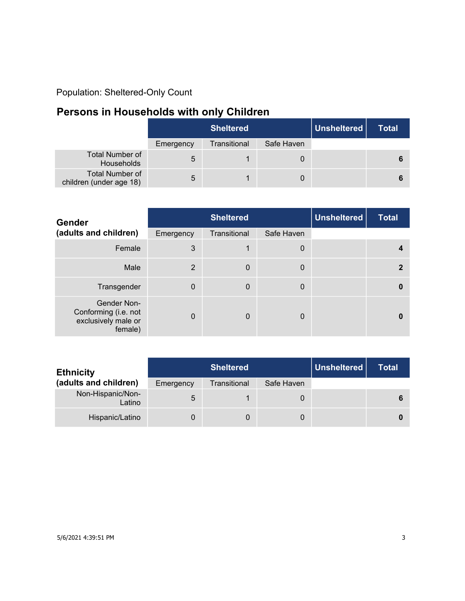### Population: Sheltered-Only Count

## **Persons in Households with only Children**

|                                                   | <b>Sheltered</b> |              |            | Unsheltered | <b>Total</b> |
|---------------------------------------------------|------------------|--------------|------------|-------------|--------------|
|                                                   | Emergency        | Transitional | Safe Haven |             |              |
| Total Number of<br>Households                     | 5                |              |            |             |              |
| <b>Total Number of</b><br>children (under age 18) | 5                |              | 0          |             |              |

| <b>Gender</b>                                                         | <b>Sheltered</b> |              |            | <b>Unsheltered</b> | <b>Total</b> |
|-----------------------------------------------------------------------|------------------|--------------|------------|--------------------|--------------|
| (adults and children)                                                 | Emergency        | Transitional | Safe Haven |                    |              |
| Female                                                                | 3                | 1            | 0          |                    |              |
| Male                                                                  | 2                | $\mathbf 0$  | 0          |                    | 2            |
| Transgender                                                           | $\Omega$         | $\mathbf 0$  | 0          |                    |              |
| Gender Non-<br>Conforming (i.e. not<br>exclusively male or<br>female) | $\Omega$         | $\Omega$     | 0          |                    |              |

| <b>Ethnicity</b>            |           | Unsheltered<br><b>Sheltered</b> |            |  | Total |
|-----------------------------|-----------|---------------------------------|------------|--|-------|
| (adults and children)       | Emergency | Transitional                    | Safe Haven |  |       |
| Non-Hispanic/Non-<br>Latino | 5         |                                 | 0          |  |       |
| Hispanic/Latino             |           |                                 | 0          |  |       |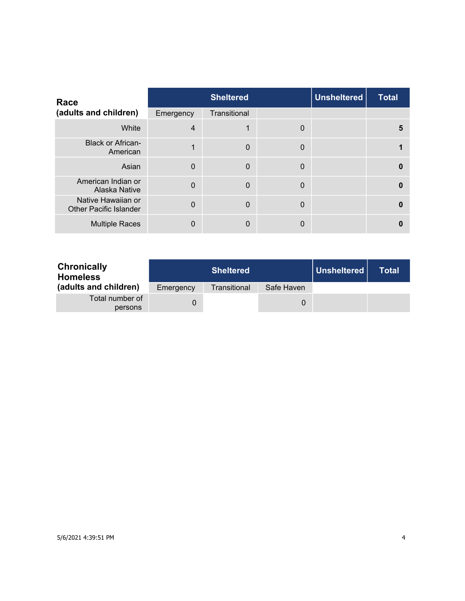| Race                                                |                | <b>Sheltered</b> |              | <b>Unsheltered</b> | <b>Total</b> |
|-----------------------------------------------------|----------------|------------------|--------------|--------------------|--------------|
| (adults and children)                               | Emergency      | Transitional     |              |                    |              |
| White                                               | $\overline{4}$ | 1                | $\mathbf{0}$ |                    | 5            |
| <b>Black or African-</b><br>American                | 1              | $\mathbf 0$      | 0            |                    |              |
| Asian                                               | $\Omega$       | $\mathbf{0}$     | $\mathbf{0}$ |                    | $\Omega$     |
| American Indian or<br>Alaska Native                 | $\Omega$       | $\Omega$         | 0            |                    | $\Omega$     |
| Native Hawaiian or<br><b>Other Pacific Islander</b> | $\Omega$       | $\Omega$         | 0            |                    | $\Omega$     |
| <b>Multiple Races</b>                               | 0              | $\mathbf{0}$     | 0            |                    |              |

| <b>Chronically</b><br><b>Homeless</b> |           | <b>Sheltered</b> |            | Unsheltered | <b>Total</b> |
|---------------------------------------|-----------|------------------|------------|-------------|--------------|
| (adults and children)                 | Emergency | Transitional     | Safe Haven |             |              |
| Total number of<br>persons            |           |                  | 0          |             |              |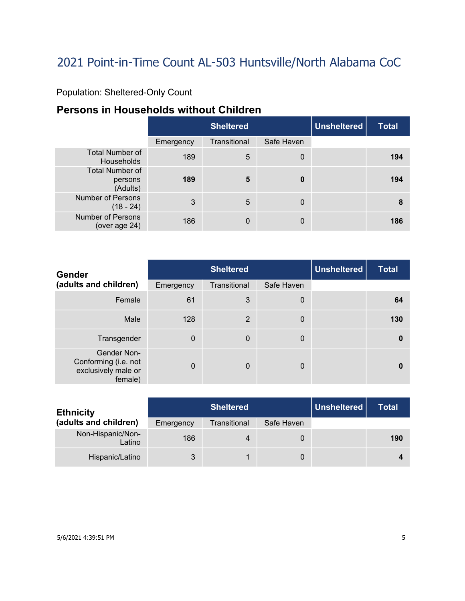### Population: Sheltered-Only Count

## **Persons in Households without Children**

|                                               |           | <b>Sheltered</b> | <b>Unsheltered</b> | <b>Total</b> |     |
|-----------------------------------------------|-----------|------------------|--------------------|--------------|-----|
|                                               | Emergency | Transitional     | Safe Haven         |              |     |
| <b>Total Number of</b><br><b>Households</b>   | 189       | 5                | $\mathbf 0$        |              | 194 |
| <b>Total Number of</b><br>persons<br>(Adults) | 189       | 5                | $\bf{0}$           |              | 194 |
| <b>Number of Persons</b><br>$(18 - 24)$       | 3         | 5                | 0                  |              | 8   |
| <b>Number of Persons</b><br>(over age 24)     | 186       | 0                | $\mathbf 0$        |              | 186 |

| <b>Gender</b>                                                         | <b>Sheltered</b> |              |             | <b>Unsheltered</b> | <b>Total</b> |
|-----------------------------------------------------------------------|------------------|--------------|-------------|--------------------|--------------|
| (adults and children)                                                 | Emergency        | Transitional | Safe Haven  |                    |              |
| Female                                                                | 61               | 3            | 0           |                    | 64           |
| Male                                                                  | 128              | 2            | $\mathbf 0$ |                    | 130          |
| Transgender                                                           | $\Omega$         | $\mathbf 0$  | 0           |                    | $\bf{0}$     |
| Gender Non-<br>Conforming (i.e. not<br>exclusively male or<br>female) | $\Omega$         | $\Omega$     | 0           |                    | $\mathbf{0}$ |

| <b>Ethnicity</b>            |           | Unsheltered  <br><b>Sheltered</b> |            |  | Total |
|-----------------------------|-----------|-----------------------------------|------------|--|-------|
| (adults and children)       | Emergency | Transitional                      | Safe Haven |  |       |
| Non-Hispanic/Non-<br>Latino | 186       | 4                                 | 0          |  | 190   |
| Hispanic/Latino             | ર         |                                   | 0          |  |       |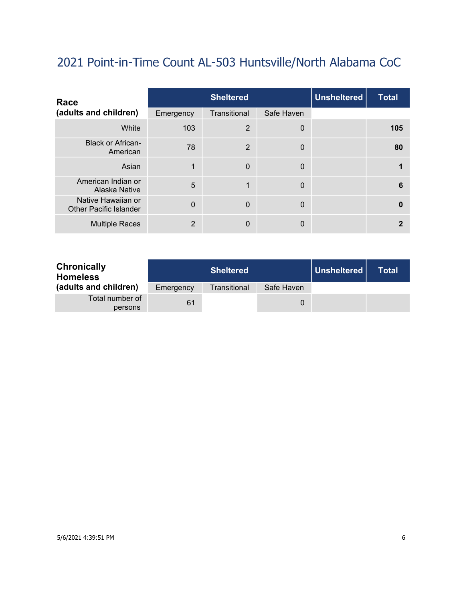| Race                                                |           | <b>Sheltered</b> |             | <b>Unsheltered</b> | <b>Total</b> |
|-----------------------------------------------------|-----------|------------------|-------------|--------------------|--------------|
| (adults and children)                               | Emergency | Transitional     | Safe Haven  |                    |              |
| White                                               | 103       | $\overline{2}$   | $\mathbf 0$ |                    | 105          |
| <b>Black or African-</b><br>American                | 78        | $\overline{2}$   | $\mathbf 0$ |                    | 80           |
| Asian                                               |           | $\Omega$         | $\Omega$    |                    |              |
| American Indian or<br>Alaska Native                 | 5         | 1                | $\mathbf 0$ |                    | 6            |
| Native Hawaiian or<br><b>Other Pacific Islander</b> | $\Omega$  | $\mathbf 0$      | $\mathbf 0$ |                    | $\mathbf{0}$ |
| <b>Multiple Races</b>                               | 2         | $\mathbf{0}$     | 0           |                    |              |

| <b>Chronically</b><br><b>Homeless</b> |           | <b>Sheltered</b> |            | Unsheltered | <b>Total</b> |
|---------------------------------------|-----------|------------------|------------|-------------|--------------|
| (adults and children)                 | Emergency | Transitional     | Safe Haven |             |              |
| Total number of<br>persons            | 61        |                  |            |             |              |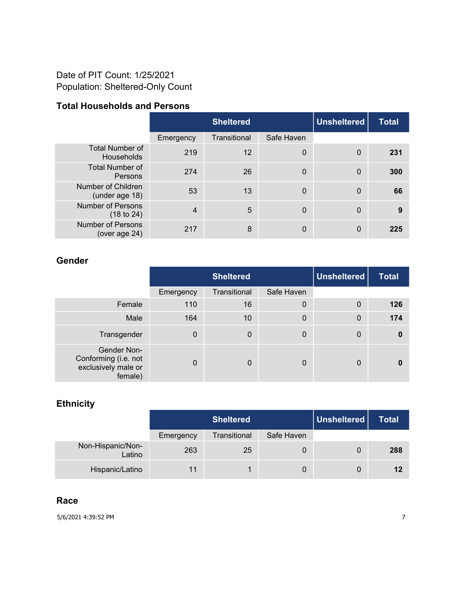#### Date of PIT Count: 1/25/2021 Population: Sheltered-Only Count

#### **Total Households and Persons**

|                                             |           | <b>Unsheltered</b><br><b>Sheltered</b> |             |                | <b>Total</b> |
|---------------------------------------------|-----------|----------------------------------------|-------------|----------------|--------------|
|                                             | Emergency | Transitional                           | Safe Haven  |                |              |
| <b>Total Number of</b><br><b>Households</b> | 219       | 12                                     | 0           | $\Omega$       | 231          |
| <b>Total Number of</b><br>Persons           | 274       | 26                                     | $\mathbf 0$ | $\mathbf 0$    | 300          |
| Number of Children<br>(under age 18)        | 53        | 13                                     | $\mathbf 0$ | $\overline{0}$ | 66           |
| <b>Number of Persons</b><br>(18 to 24)      | 4         | 5                                      | $\mathbf 0$ | $\overline{0}$ | 9            |
| <b>Number of Persons</b><br>(over age 24)   | 217       | 8                                      | 0           | 0              | 225          |

#### **Gender**

|                                                                       | <b>Sheltered</b> |                |                  | <b>Unsheltered</b> | <b>Total</b> |
|-----------------------------------------------------------------------|------------------|----------------|------------------|--------------------|--------------|
|                                                                       | Emergency        | Transitional   | Safe Haven       |                    |              |
| Female                                                                | 110              | 16             | $\boldsymbol{0}$ | $\mathbf 0$        | 126          |
| Male                                                                  | 164              | 10             | $\mathbf 0$      | $\mathbf 0$        | 174          |
| Transgender                                                           | 0                | $\overline{0}$ | 0                | $\boldsymbol{0}$   | 0            |
| Gender Non-<br>Conforming (i.e. not<br>exclusively male or<br>female) | $\Omega$         | $\Omega$       | 0                | 0                  |              |

#### **Ethnicity**

|                             |           | <b>Sheltered</b> | Unsheltered | <b>Total</b> |     |
|-----------------------------|-----------|------------------|-------------|--------------|-----|
|                             | Emergency | Transitional     | Safe Haven  |              |     |
| Non-Hispanic/Non-<br>Latino | 263       | 25               | U           | 0            | 288 |
| Hispanic/Latino             |           |                  | 0           | 0            | 12  |

#### **Race**

5/6/2021 4:39:52 PM 7